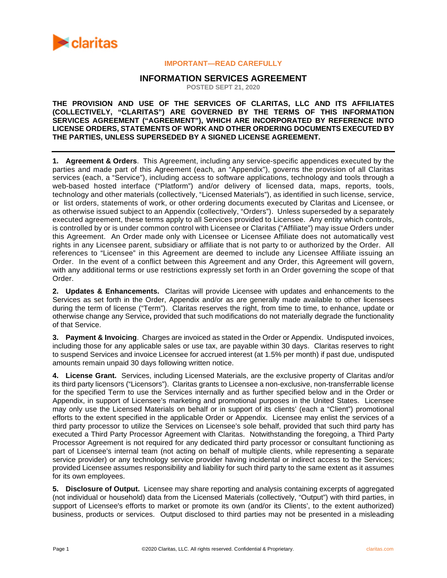

## **IMPORTANT—READ CAREFULLY**

# **INFORMATION SERVICES AGREEMENT**

**POSTED SEPT 21, 2020**

## **THE PROVISION AND USE OF THE SERVICES OF CLARITAS, LLC AND ITS AFFILIATES (COLLECTIVELY, "CLARITAS") ARE GOVERNED BY THE TERMS OF THIS INFORMATION SERVICES AGREEMENT ("AGREEMENT"), WHICH ARE INCORPORATED BY REFERENCE INTO LICENSE ORDERS, STATEMENTS OF WORK AND OTHER ORDERING DOCUMENTS EXECUTED BY THE PARTIES, UNLESS SUPERSEDED BY A SIGNED LICENSE AGREEMENT.**

**1. Agreement & Orders**. This Agreement, including any service-specific appendices executed by the parties and made part of this Agreement (each, an "Appendix"), governs the provision of all Claritas services (each, a "Service"), including access to software applications, technology and tools through a web-based hosted interface ("Platform") and/or delivery of licensed data, maps, reports, tools, technology and other materials (collectively, "Licensed Materials"), as identified in such license, service, or list orders, statements of work, or other ordering documents executed by Claritas and Licensee, or as otherwise issued subject to an Appendix (collectively, "Orders"). Unless superseded by a separately executed agreement, these terms apply to all Services provided to Licensee. Any entity which controls, is controlled by or is under common control with Licensee or Claritas ("Affiliate") may issue Orders under this Agreement. An Order made only with Licensee or Licensee Affiliate does not automatically vest rights in any Licensee parent, subsidiary or affiliate that is not party to or authorized by the Order. All references to "Licensee" in this Agreement are deemed to include any Licensee Affiliate issuing an Order. In the event of a conflict between this Agreement and any Order, this Agreement will govern, with any additional terms or use restrictions expressly set forth in an Order governing the scope of that Order.

**2. Updates & Enhancements.** Claritas will provide Licensee with updates and enhancements to the Services as set forth in the Order, Appendix and/or as are generally made available to other licensees during the term of license ("Term"). Claritas reserves the right, from time to time, to enhance, update or otherwise change any Service**,** provided that such modifications do not materially degrade the functionality of that Service.

**3. Payment & Invoicing**. Charges are invoiced as stated in the Order or Appendix. Undisputed invoices, including those for any applicable sales or use tax, are payable within 30 days. Claritas reserves to right to suspend Services and invoice Licensee for accrued interest (at 1.5% per month) if past due, undisputed amounts remain unpaid 30 days following written notice.

**4. License Grant.** Services, including Licensed Materials, are the exclusive property of Claritas and/or its third party licensors ("Licensors"). Claritas grants to Licensee a non-exclusive, non-transferrable license for the specified Term to use the Services internally and as further specified below and in the Order or Appendix, in support of Licensee's marketing and promotional purposes in the United States. Licensee may only use the Licensed Materials on behalf or in support of its clients' (each a "Client") promotional efforts to the extent specified in the applicable Order or Appendix. Licensee may enlist the services of a third party processor to utilize the Services on Licensee's sole behalf, provided that such third party has executed a Third Party Processor Agreement with Claritas. Notwithstanding the foregoing, a Third Party Processor Agreement is not required for any dedicated third party processor or consultant functioning as part of Licensee's internal team (not acting on behalf of multiple clients, while representing a separate service provider) or any technology service provider having incidental or indirect access to the Services; provided Licensee assumes responsibility and liability for such third party to the same extent as it assumes for its own employees.

**5. Disclosure of Output.** Licensee may share reporting and analysis containing excerpts of aggregated (not individual or household) data from the Licensed Materials (collectively, "Output") with third parties, in support of Licensee's efforts to market or promote its own (and/or its Clients', to the extent authorized) business, products or services. Output disclosed to third parties may not be presented in a misleading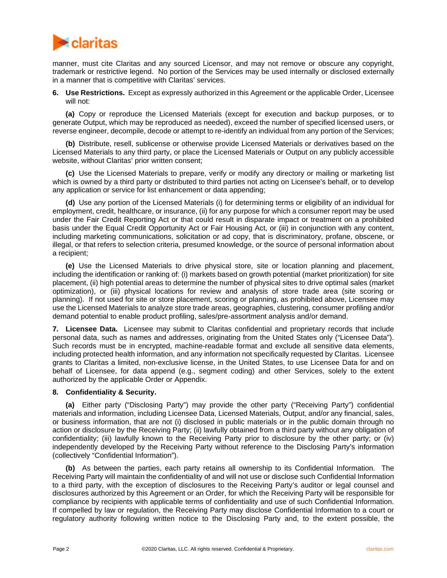

manner, must cite Claritas and any sourced Licensor, and may not remove or obscure any copyright, trademark or restrictive legend. No portion of the Services may be used internally or disclosed externally in a manner that is competitive with Claritas' services.

**6. Use Restrictions.** Except as expressly authorized in this Agreement or the applicable Order, Licensee will not:

**(a)** Copy or reproduce the Licensed Materials (except for execution and backup purposes, or to generate Output, which may be reproduced as needed), exceed the number of specified licensed users, or reverse engineer, decompile, decode or attempt to re-identify an individual from any portion of the Services;

**(b)** Distribute, resell, sublicense or otherwise provide Licensed Materials or derivatives based on the Licensed Materials to any third party, or place the Licensed Materials or Output on any publicly accessible website, without Claritas' prior written consent;

**(c)** Use the Licensed Materials to prepare, verify or modify any directory or mailing or marketing list which is owned by a third party or distributed to third parties not acting on Licensee's behalf, or to develop any application or service for list enhancement or data appending;

**(d)** Use any portion of the Licensed Materials (i) for determining terms or eligibility of an individual for employment, credit, healthcare, or insurance, (ii) for any purpose for which a consumer report may be used under the Fair Credit Reporting Act or that could result in disparate impact or treatment on a prohibited basis under the Equal Credit Opportunity Act or Fair Housing Act, or (iii) in conjunction with any content, including marketing communications, solicitation or ad copy, that is discriminatory, profane, obscene, or illegal, or that refers to selection criteria, presumed knowledge, or the source of personal information about a recipient;

**(e)** Use the Licensed Materials to drive physical store, site or location planning and placement, including the identification or ranking of: (i) markets based on growth potential (market prioritization) for site placement, (ii) high potential areas to determine the number of physical sites to drive optimal sales (market optimization), or (iii) physical locations for review and analysis of store trade area (site scoring or planning). If not used for site or store placement, scoring or planning, as prohibited above, Licensee may use the Licensed Materials to analyze store trade areas, geographies, clustering, consumer profiling and/or demand potential to enable product profiling, sales/pre-assortment analysis and/or demand.

**7. Licensee Data.** Licensee may submit to Claritas confidential and proprietary records that include personal data, such as names and addresses, originating from the United States only ("Licensee Data"). Such records must be in encrypted, machine-readable format and exclude all sensitive data elements, including protected health information, and any information not specifically requested by Claritas. Licensee grants to Claritas a limited, non-exclusive license, in the United States, to use Licensee Data for and on behalf of Licensee, for data append (e.g., segment coding) and other Services, solely to the extent authorized by the applicable Order or Appendix.

## **8. Confidentiality & Security.**

**(a)** Either party ("Disclosing Party") may provide the other party ("Receiving Party") confidential materials and information, including Licensee Data, Licensed Materials, Output, and/or any financial, sales, or business information, that are not (i) disclosed in public materials or in the public domain through no action or disclosure by the Receiving Party; (ii) lawfully obtained from a third party without any obligation of confidentiality; (iii) lawfully known to the Receiving Party prior to disclosure by the other party; or (iv) independently developed by the Receiving Party without reference to the Disclosing Party's information (collectively "Confidential Information").

**(b)** As between the parties, each party retains all ownership to its Confidential Information. The Receiving Party will maintain the confidentiality of and will not use or disclose such Confidential Information to a third party, with the exception of disclosures to the Receiving Party's auditor or legal counsel and disclosures authorized by this Agreement or an Order, for which the Receiving Party will be responsible for compliance by recipients with applicable terms of confidentiality and use of such Confidential Information. If compelled by law or regulation, the Receiving Party may disclose Confidential Information to a court or regulatory authority following written notice to the Disclosing Party and, to the extent possible, the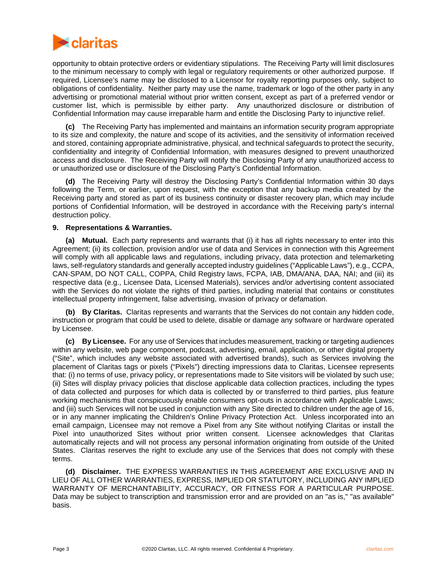

opportunity to obtain protective orders or evidentiary stipulations. The Receiving Party will limit disclosures to the minimum necessary to comply with legal or regulatory requirements or other authorized purpose. If required, Licensee's name may be disclosed to a Licensor for royalty reporting purposes only, subject to obligations of confidentiality. Neither party may use the name, trademark or logo of the other party in any advertising or promotional material without prior written consent, except as part of a preferred vendor or customer list, which is permissible by either party. Any unauthorized disclosure or distribution of Confidential Information may cause irreparable harm and entitle the Disclosing Party to injunctive relief.

**(c)** The Receiving Party has implemented and maintains an information security program appropriate to its size and complexity, the nature and scope of its activities, and the sensitivity of information received and stored, containing appropriate administrative, physical, and technical safeguards to protect the security, confidentiality and integrity of Confidential Information, with measures designed to prevent unauthorized access and disclosure. The Receiving Party will notify the Disclosing Party of any unauthorized access to or unauthorized use or disclosure of the Disclosing Party's Confidential Information.

**(d)** The Receiving Party will destroy the Disclosing Party's Confidential Information within 30 days following the Term, or earlier, upon request, with the exception that any backup media created by the Receiving party and stored as part of its business continuity or disaster recovery plan, which may include portions of Confidential Information, will be destroyed in accordance with the Receiving party's internal destruction policy.

#### **9. Representations & Warranties.**

**(a) Mutual.** Each party represents and warrants that (i) it has all rights necessary to enter into this Agreement; (ii) its collection, provision and/or use of data and Services in connection with this Agreement will comply with all applicable laws and regulations, including privacy, data protection and telemarketing laws, self-regulatory standards and generally accepted industry guidelines ("Applicable Laws"), e.g., CCPA, CAN-SPAM, DO NOT CALL, COPPA, Child Registry laws, FCPA, IAB, DMA/ANA, DAA, NAI; and (iii) its respective data (e.g., Licensee Data, Licensed Materials), services and/or advertising content associated with the Services do not violate the rights of third parties, including material that contains or constitutes intellectual property infringement, false advertising, invasion of privacy or defamation.

**(b) By Claritas.** Claritas represents and warrants that the Services do not contain any hidden code, instruction or program that could be used to delete, disable or damage any software or hardware operated by Licensee.

**(c) By Licensee.** For any use of Services that includes measurement, tracking or targeting audiences within any website, web page component, podcast, advertising, email, application, or other digital property ("Site", which includes any website associated with advertised brands), such as Services involving the placement of Claritas tags or pixels ("Pixels") directing impressions data to Claritas, Licensee represents that: (i) no terms of use, privacy policy, or representations made to Site visitors will be violated by such use; (ii) Sites will display privacy policies that disclose applicable data collection practices, including the types of data collected and purposes for which data is collected by or transferred to third parties, plus feature working mechanisms that conspicuously enable consumers opt-outs in accordance with Applicable Laws; and (iii) such Services will not be used in conjunction with any Site directed to children under the age of 16, or in any manner implicating the Children's Online Privacy Protection Act. Unless incorporated into an email campaign, Licensee may not remove a Pixel from any Site without notifying Claritas or install the Pixel into unauthorized Sites without prior written consent. Licensee acknowledges that Claritas automatically rejects and will not process any personal information originating from outside of the United States. Claritas reserves the right to exclude any use of the Services that does not comply with these terms.

**(d) Disclaimer.** THE EXPRESS WARRANTIES IN THIS AGREEMENT ARE EXCLUSIVE AND IN LIEU OF ALL OTHER WARRANTIES, EXPRESS, IMPLIED OR STATUTORY, INCLUDING ANY IMPLIED WARRANTY OF MERCHANTABILITY, ACCURACY, OR FITNESS FOR A PARTICULAR PURPOSE. Data may be subject to transcription and transmission error and are provided on an "as is," "as available" basis.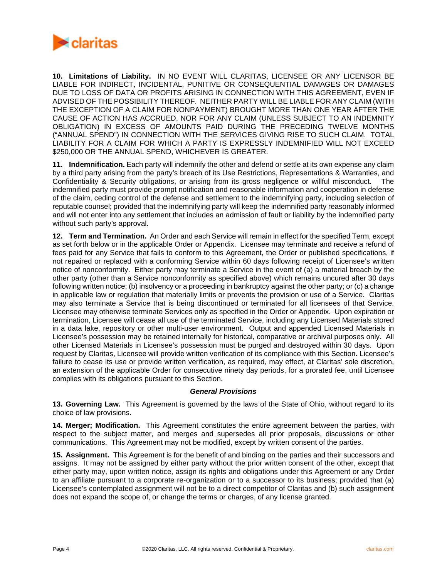

**10. Limitations of Liability.** IN NO EVENT WILL CLARITAS, LICENSEE OR ANY LICENSOR BE LIABLE FOR INDIRECT, INCIDENTAL, PUNITIVE OR CONSEQUENTIAL DAMAGES OR DAMAGES DUE TO LOSS OF DATA OR PROFITS ARISING IN CONNECTION WITH THIS AGREEMENT, EVEN IF ADVISED OF THE POSSIBILITY THEREOF. NEITHER PARTY WILL BE LIABLE FOR ANY CLAIM (WITH THE EXCEPTION OF A CLAIM FOR NONPAYMENT) BROUGHT MORE THAN ONE YEAR AFTER THE CAUSE OF ACTION HAS ACCRUED, NOR FOR ANY CLAIM (UNLESS SUBJECT TO AN INDEMNITY OBLIGATION) IN EXCESS OF AMOUNTS PAID DURING THE PRECEDING TWELVE MONTHS ("ANNUAL SPEND") IN CONNECTION WITH THE SERVICES GIVING RISE TO SUCH CLAIM. TOTAL LIABILITY FOR A CLAIM FOR WHICH A PARTY IS EXPRESSLY INDEMNIFIED WILL NOT EXCEED \$250,000 OR THE ANNUAL SPEND, WHICHEVER IS GREATER.

**11. Indemnification.** Each party will indemnify the other and defend or settle at its own expense any claim by a third party arising from the party's breach of its Use Restrictions, Representations & Warranties, and Confidentiality & Security obligations, or arising from its gross negligence or willful misconduct. The indemnified party must provide prompt notification and reasonable information and cooperation in defense of the claim, ceding control of the defense and settlement to the indemnifying party, including selection of reputable counsel; provided that the indemnifying party will keep the indemnified party reasonably informed and will not enter into any settlement that includes an admission of fault or liability by the indemnified party without such party's approval.

**12. Term and Termination.** An Order and each Service will remain in effect for the specified Term, except as set forth below or in the applicable Order or Appendix. Licensee may terminate and receive a refund of fees paid for any Service that fails to conform to this Agreement, the Order or published specifications, if not repaired or replaced with a conforming Service within 60 days following receipt of Licensee's written notice of nonconformity. Either party may terminate a Service in the event of (a) a material breach by the other party (other than a Service nonconformity as specified above) which remains uncured after 30 days following written notice; (b) insolvency or a proceeding in bankruptcy against the other party; or (c) a change in applicable law or regulation that materially limits or prevents the provision or use of a Service. Claritas may also terminate a Service that is being discontinued or terminated for all licensees of that Service. Licensee may otherwise terminate Services only as specified in the Order or Appendix. Upon expiration or termination, Licensee will cease all use of the terminated Service, including any Licensed Materials stored in a data lake, repository or other multi-user environment. Output and appended Licensed Materials in Licensee's possession may be retained internally for historical, comparative or archival purposes only. All other Licensed Materials in Licensee's possession must be purged and destroyed within 30 days. Upon request by Claritas, Licensee will provide written verification of its compliance with this Section. Licensee's failure to cease its use or provide written verification, as required, may effect, at Claritas' sole discretion, an extension of the applicable Order for consecutive ninety day periods, for a prorated fee, until Licensee complies with its obligations pursuant to this Section.

## *General Provisions*

**13. Governing Law.** This Agreement is governed by the laws of the State of Ohio, without regard to its choice of law provisions.

**14. Merger; Modification.** This Agreement constitutes the entire agreement between the parties, with respect to the subject matter, and merges and supersedes all prior proposals, discussions or other communications. This Agreement may not be modified, except by written consent of the parties.

**15. Assignment.** This Agreement is for the benefit of and binding on the parties and their successors and assigns. It may not be assigned by either party without the prior written consent of the other, except that either party may, upon written notice, assign its rights and obligations under this Agreement or any Order to an affiliate pursuant to a corporate re-organization or to a successor to its business; provided that (a) Licensee's contemplated assignment will not be to a direct competitor of Claritas and (b) such assignment does not expand the scope of, or change the terms or charges, of any license granted.